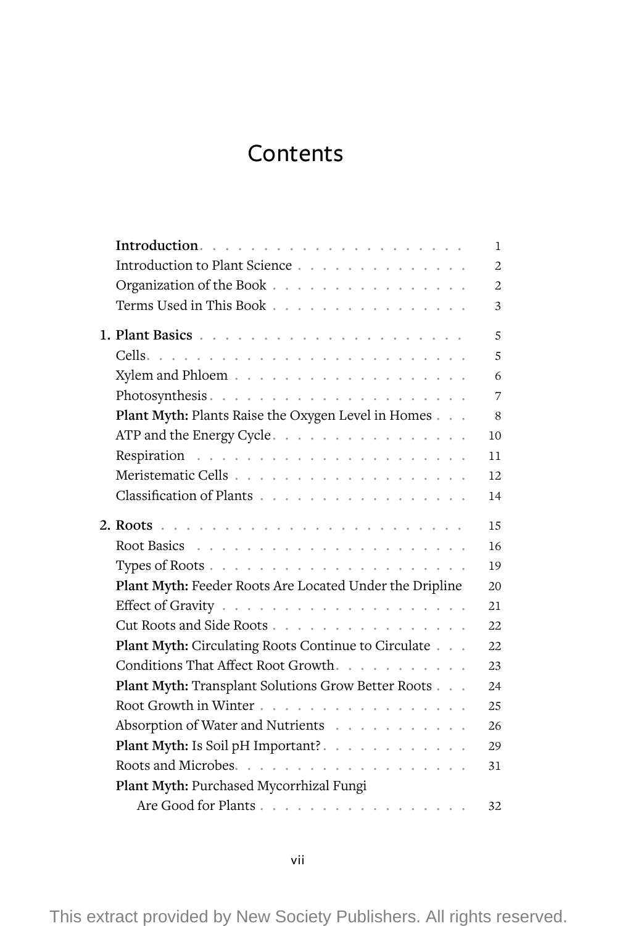## Contents

|                                                         | 1              |
|---------------------------------------------------------|----------------|
| Introduction to Plant Science                           | $\overline{2}$ |
| Organization of the Book                                | $\overline{2}$ |
| Terms Used in This Book                                 | 3              |
|                                                         | 5              |
|                                                         | 5              |
|                                                         | 6              |
| Photosynthesis                                          | 7              |
| Plant Myth: Plants Raise the Oxygen Level in Homes      | 8              |
| ATP and the Energy Cycle.                               | 10             |
|                                                         | 11             |
|                                                         | 12             |
| Classification of Plants                                | 14             |
|                                                         | 15             |
|                                                         | 16             |
|                                                         | 19             |
| Plant Myth: Feeder Roots Are Located Under the Dripline | 20             |
|                                                         | 21             |
| Cut Roots and Side Roots                                | 22             |
| Plant Myth: Circulating Roots Continue to Circulate     | 22             |
| Conditions That Affect Root Growth.                     | 23             |
| Plant Myth: Transplant Solutions Grow Better Roots      | 24             |
| Root Growth in Winter                                   | 25             |
| Absorption of Water and Nutrients                       | 26             |
| Plant Myth: Is Soil pH Important?.                      | 29             |
|                                                         | 31             |
| Plant Myth: Purchased Mycorrhizal Fungi                 |                |
| Are Good for Plants                                     | 32             |

This extract provided by New Society Publishers. All rights reserved.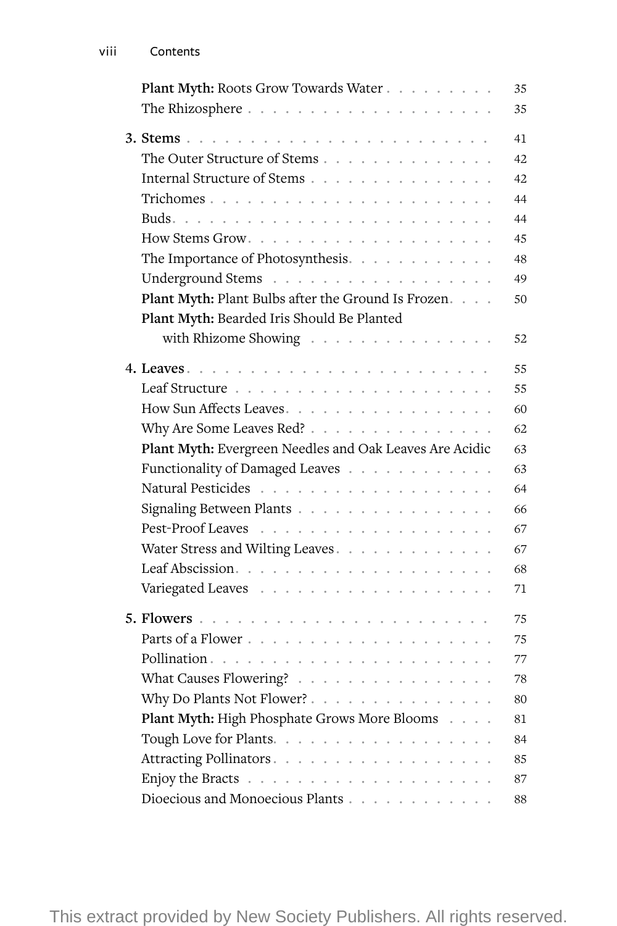| Plant Myth: Roots Grow Towards Water                    | 35 |
|---------------------------------------------------------|----|
|                                                         | 35 |
|                                                         |    |
|                                                         | 41 |
| The Outer Structure of Stems                            | 42 |
| Internal Structure of Stems                             | 42 |
|                                                         | 44 |
|                                                         | 44 |
|                                                         | 45 |
| The Importance of Photosynthesis.                       | 48 |
| Underground Stems                                       | 49 |
| Plant Myth: Plant Bulbs after the Ground Is Frozen.     | 50 |
| Plant Myth: Bearded Iris Should Be Planted              |    |
| with Rhizome Showing                                    | 52 |
|                                                         | 55 |
|                                                         | 55 |
| How Sun Affects Leaves                                  | 60 |
| Why Are Some Leaves Red?                                | 62 |
| Plant Myth: Evergreen Needles and Oak Leaves Are Acidic | 63 |
| Functionality of Damaged Leaves                         | 63 |
| Natural Pesticides                                      | 64 |
| Signaling Between Plants                                | 66 |
| Pest-Proof Leaves                                       | 67 |
| Water Stress and Wilting Leaves.                        | 67 |
|                                                         | 68 |
|                                                         |    |
|                                                         | 71 |
|                                                         | 75 |
|                                                         | 75 |
|                                                         | 77 |
| What Causes Flowering?                                  | 78 |
| Why Do Plants Not Flower?                               | 80 |
| Plant Myth: High Phosphate Grows More Blooms            | 81 |
| Tough Love for Plants.                                  | 84 |
| Attracting Pollinators                                  | 85 |
|                                                         | 87 |
| Dioecious and Monoecious Plants                         | 88 |
|                                                         |    |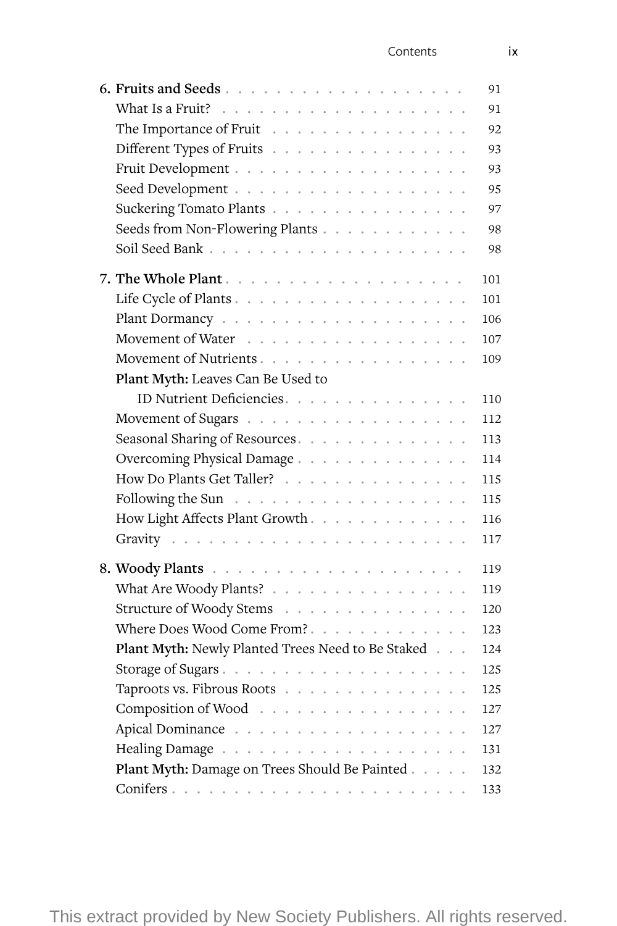## Contents ix

|                                                   | 91  |
|---------------------------------------------------|-----|
|                                                   | 91  |
| The Importance of Fruit                           | 92  |
| Different Types of Fruits                         | 93  |
|                                                   | 93  |
|                                                   | 95  |
| Suckering Tomato Plants                           | 97  |
| Seeds from Non-Flowering Plants                   | 98  |
|                                                   | 98  |
|                                                   | 101 |
|                                                   | 101 |
|                                                   | 106 |
|                                                   | 107 |
| Movement of Nutrients.                            | 109 |
| Plant Myth: Leaves Can Be Used to                 |     |
| ID Nutrient Deficiencies.                         | 110 |
|                                                   | 112 |
| Seasonal Sharing of Resources.                    | 113 |
| Overcoming Physical Damage.                       | 114 |
| How Do Plants Get Taller?                         | 115 |
|                                                   | 115 |
| How Light Affects Plant Growth.                   | 116 |
|                                                   | 117 |
|                                                   |     |
|                                                   | 119 |
| What Are Woody Plants?                            | 119 |
| Structure of Woody Stems                          | 120 |
| Where Does Wood Come From?.                       | 123 |
| Plant Myth: Newly Planted Trees Need to Be Staked | 124 |
|                                                   | 125 |
| Taproots vs. Fibrous Roots                        | 125 |
| Composition of Wood                               | 127 |
|                                                   | 127 |
|                                                   | 131 |
| Plant Myth: Damage on Trees Should Be Painted     | 132 |
|                                                   | 133 |